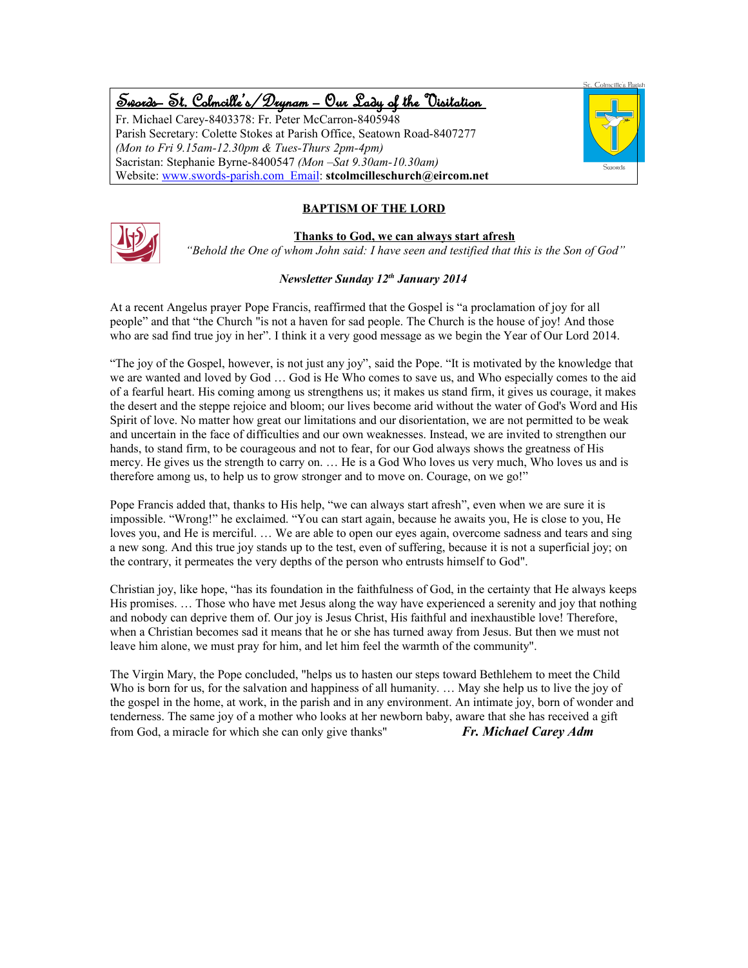# Swords – St. Colmcille's /Drynam – Our Lady of the Visitation

Fr. Michael Carey-8403378: Fr. Peter McCarron-8405948 Parish Secretary: Colette Stokes at Parish Office, Seatown Road-8407277 *(Mon to Fri 9.15am-12.30pm & Tues-Thurs 2pm-4pm)* Sacristan: Stephanie Byrne-8400547 *(Mon –Sat 9.30am-10.30am)* Website: www.swords-parish.com Email: **stcolmcilleschurch@eircom.net**



# **BAPTISM OF THE LORD**



**Thanks to God, we can always start afresh**  *"Behold the One of whom John said: I have seen and testified that this is the Son of God"*

# *Newsletter Sunday 12th January 2014*

At a recent Angelus prayer Pope Francis, reaffirmed that the Gospel is "a proclamation of joy for all people" and that "the Church "is not a haven for sad people. The Church is the house of joy! And those who are sad find true joy in her". I think it a very good message as we begin the Year of Our Lord 2014.

"The joy of the Gospel, however, is not just any joy", said the Pope. "It is motivated by the knowledge that we are wanted and loved by God … God is He Who comes to save us, and Who especially comes to the aid of a fearful heart. His coming among us strengthens us; it makes us stand firm, it gives us courage, it makes the desert and the steppe rejoice and bloom; our lives become arid without the water of God's Word and His Spirit of love. No matter how great our limitations and our disorientation, we are not permitted to be weak and uncertain in the face of difficulties and our own weaknesses. Instead, we are invited to strengthen our hands, to stand firm, to be courageous and not to fear, for our God always shows the greatness of His mercy. He gives us the strength to carry on. … He is a God Who loves us very much, Who loves us and is therefore among us, to help us to grow stronger and to move on. Courage, on we go!"

Pope Francis added that, thanks to His help, "we can always start afresh", even when we are sure it is impossible. "Wrong!" he exclaimed. "You can start again, because he awaits you, He is close to you, He loves you, and He is merciful. … We are able to open our eyes again, overcome sadness and tears and sing a new song. And this true joy stands up to the test, even of suffering, because it is not a superficial joy; on the contrary, it permeates the very depths of the person who entrusts himself to God".

Christian joy, like hope, "has its foundation in the faithfulness of God, in the certainty that He always keeps His promises. … Those who have met Jesus along the way have experienced a serenity and joy that nothing and nobody can deprive them of. Our joy is Jesus Christ, His faithful and inexhaustible love! Therefore, when a Christian becomes sad it means that he or she has turned away from Jesus. But then we must not leave him alone, we must pray for him, and let him feel the warmth of the community".

The Virgin Mary, the Pope concluded, "helps us to hasten our steps toward Bethlehem to meet the Child Who is born for us, for the salvation and happiness of all humanity. ... May she help us to live the joy of the gospel in the home, at work, in the parish and in any environment. An intimate joy, born of wonder and tenderness. The same joy of a mother who looks at her newborn baby, aware that she has received a gift from God, a miracle for which she can only give thanks" *Fr. Michael Carey Adm*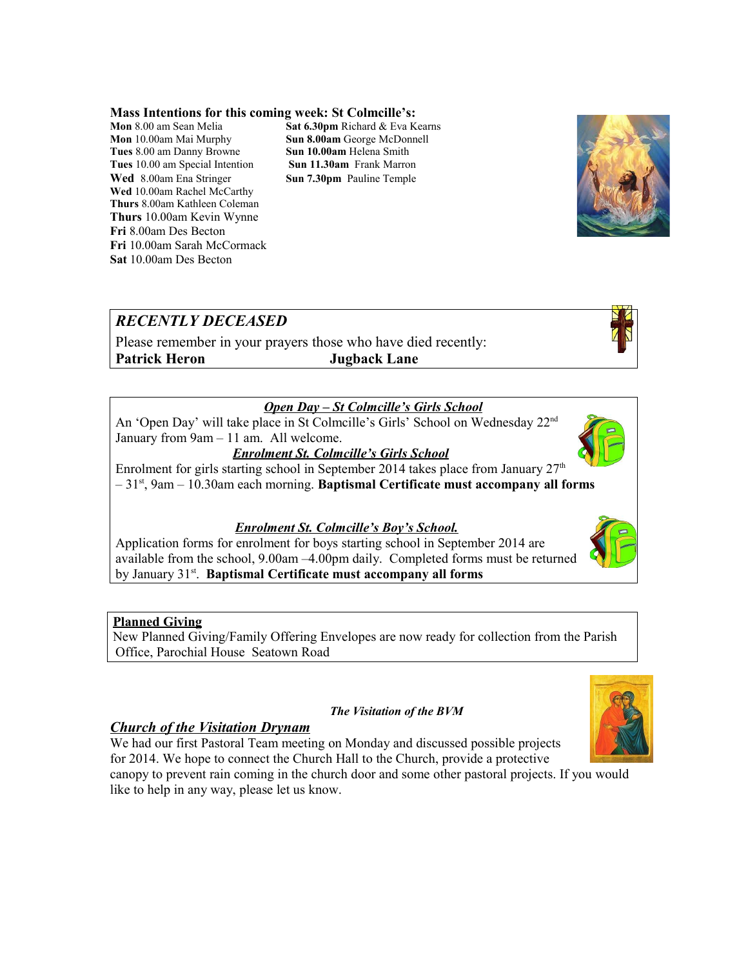### **Mass Intentions for this coming week: St Colmcille's:**

**Mon** 10.00am Mai Murphy **Sun 8.00am** George McDonnell **Tues** 8.00 am Danny Browne **Sun 10.00am** Helena Smith **Tues** 10.00 am Special Intention **Sun 11.30am** Frank Marron **Wed** 8.00am Ena Stringer **Sun 7.30pm** Pauline Temple **Wed** 10.00am Rachel McCarthy **Thurs** 8.00am Kathleen Coleman **Thurs** 10.00am Kevin Wynne **Fri** 8.00am Des Becton **Fri** 10.00am Sarah McCormack **Sat** 10.00am Des Becton

**Mon** 8.00 am Sean Melia **Sat 6.30pm** Richard & Eva Kearns



Please remember in your prayers those who have died recently: **Patrick Heron Jugback Lane**

# *Open Day – St Colmcille's Girls School*

An 'Open Day' will take place in St Colmcille's Girls' School on Wednesday 22nd January from 9am – 11 am. All welcome.

*Enrolment St. Colmcille's Girls School*

Enrolment for girls starting school in September 2014 takes place from January  $27<sup>th</sup>$ – 31st, 9am – 10.30am each morning. **Baptismal Certificate must accompany all forms**

# *Enrolment St. Colmcille's Boy's School.*

Application forms for enrolment for boys starting school in September 2014 are available from the school, 9.00am –4.00pm daily. Completed forms must be returned by January 31<sup>st</sup>. **Baptismal Certificate must accompany all forms** 

# **Planned Giving**

New Planned Giving/Family Offering Envelopes are now ready for collection from the Parish Office, Parochial House Seatown Road

### *The Visitation of the BVM*

# *Church of the Visitation Drynam*

We had our first Pastoral Team meeting on Monday and discussed possible projects for 2014. We hope to connect the Church Hall to the Church, provide a protective

canopy to prevent rain coming in the church door and some other pastoral projects. If you would like to help in any way, please let us know.







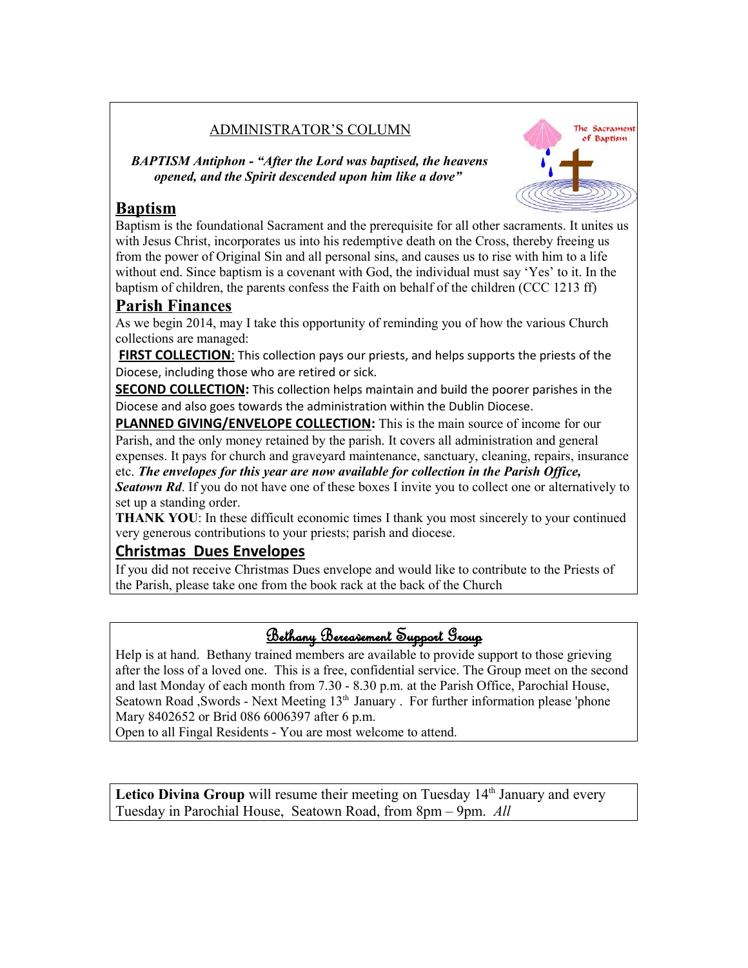# ADMINISTRATOR'S COLUMN

*BAPTISM Antiphon - "After the Lord was baptised, the heavens opened, and the Spirit descended upon him like a dove"* 

**Baptism** Baptism is the foundational Sacrament and the prerequisite for all other sacraments. It unites us with Jesus Christ, incorporates us into his redemptive death on the Cross, thereby freeing us from the power of Original Sin and all personal sins, and causes us to rise with him to a life without end. Since baptism is a covenant with God, the individual must say 'Yes' to it. In the baptism of children, the parents confess the Faith on behalf of the children (CCC 1213 ff)

The Sacrament of Baptism

# **Parish Finances**

As we begin 2014, may I take this opportunity of reminding you of how the various Church collections are managed:

**FIRST COLLECTION:** This collection pays our priests, and helps supports the priests of the Diocese, including those who are retired or sick.

**SECOND COLLECTION:** This collection helps maintain and build the poorer parishes in the Diocese and also goes towards the administration within the Dublin Diocese.

**PLANNED GIVING/ENVELOPE COLLECTION:** This is the main source of income for our Parish, and the only money retained by the parish. It covers all administration and general expenses. It pays for church and graveyard maintenance, sanctuary, cleaning, repairs, insurance

etc. *The envelopes for this year are now available for collection in the Parish Office, Seatown Rd.* If you do not have one of these boxes I invite you to collect one or alternatively to set up a standing order.

**THANK YOU**: In these difficult economic times I thank you most sincerely to your continued very generous contributions to your priests; parish and diocese.

# **Christmas Dues Envelopes**

If you did not receive Christmas Dues envelope and would like to contribute to the Priests of the Parish, please take one from the book rack at the back of the Church

# Bethany Bereavement Support Group

Help is at hand. Bethany trained members are available to provide support to those grieving after the loss of a loved one. This is a free, confidential service. The Group meet on the second and last Monday of each month from 7.30 - 8.30 p.m. at the Parish Office, Parochial House, Seatown Road ,Swords - Next Meeting 13<sup>th</sup> January . For further information please 'phone Mary 8402652 or Brid 086 6006397 after 6 p.m.

Open to all Fingal Residents - You are most welcome to attend.

Letico Divina Group will resume their meeting on Tuesday 14<sup>th</sup> January and every Tuesday in Parochial House, Seatown Road, from 8pm – 9pm. *All*